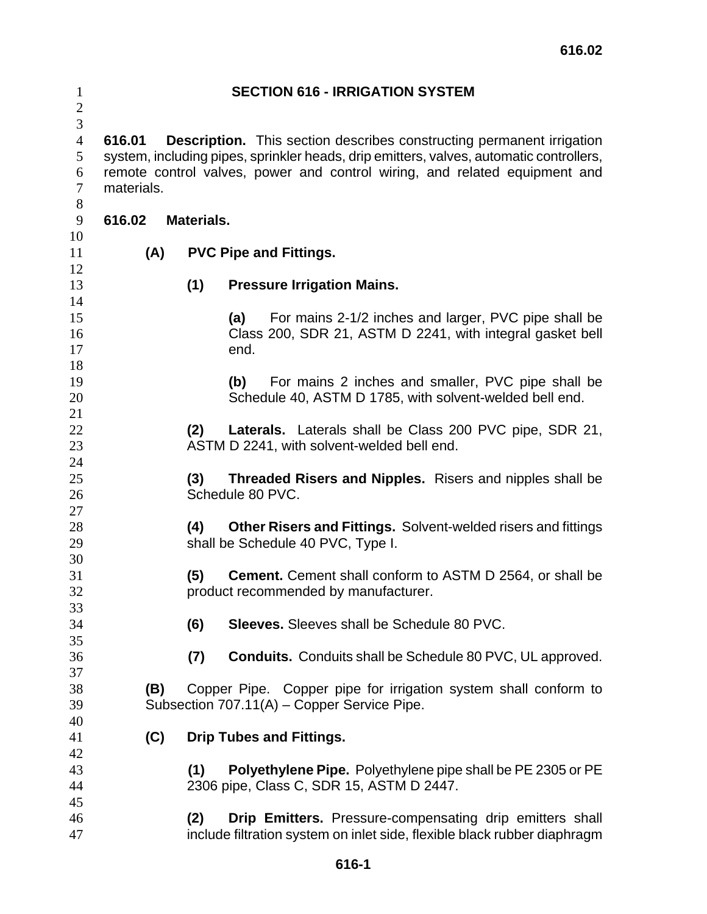| $\mathbf{1}$<br>$\sqrt{2}$                       | <b>SECTION 616 - IRRIGATION SYSTEM</b>                                                                                                                                                                                                                                        |            |                                                                                                                                      |  |  |
|--------------------------------------------------|-------------------------------------------------------------------------------------------------------------------------------------------------------------------------------------------------------------------------------------------------------------------------------|------------|--------------------------------------------------------------------------------------------------------------------------------------|--|--|
| 3<br>$\overline{4}$<br>5<br>6<br>$\tau$<br>$8\,$ | 616.01<br><b>Description.</b> This section describes constructing permanent irrigation<br>system, including pipes, sprinkler heads, drip emitters, valves, automatic controllers,<br>remote control valves, power and control wiring, and related equipment and<br>materials. |            |                                                                                                                                      |  |  |
| 9                                                | 616.02                                                                                                                                                                                                                                                                        | Materials. |                                                                                                                                      |  |  |
| 10<br>11<br>12                                   | (A)                                                                                                                                                                                                                                                                           |            | <b>PVC Pipe and Fittings.</b>                                                                                                        |  |  |
| 13<br>14                                         |                                                                                                                                                                                                                                                                               | (1)        | <b>Pressure Irrigation Mains.</b>                                                                                                    |  |  |
| 15<br>16<br>17<br>18                             |                                                                                                                                                                                                                                                                               |            | For mains 2-1/2 inches and larger, PVC pipe shall be<br>(a)<br>Class 200, SDR 21, ASTM D 2241, with integral gasket bell<br>end.     |  |  |
| 19<br>20<br>21                                   |                                                                                                                                                                                                                                                                               |            | For mains 2 inches and smaller, PVC pipe shall be<br>(b)<br>Schedule 40, ASTM D 1785, with solvent-welded bell end.                  |  |  |
| 22<br>23<br>24                                   | Laterals. Laterals shall be Class 200 PVC pipe, SDR 21,<br>(2)<br>ASTM D 2241, with solvent-welded bell end.                                                                                                                                                                  |            |                                                                                                                                      |  |  |
| 25<br>26                                         | (3)<br><b>Threaded Risers and Nipples.</b> Risers and nipples shall be<br>Schedule 80 PVC.                                                                                                                                                                                    |            |                                                                                                                                      |  |  |
| 27<br>28<br>29                                   |                                                                                                                                                                                                                                                                               | (4)        | <b>Other Risers and Fittings.</b> Solvent-welded risers and fittings<br>shall be Schedule 40 PVC, Type I.                            |  |  |
| 30<br>31<br>32                                   |                                                                                                                                                                                                                                                                               | (5)        | <b>Cement.</b> Cement shall conform to ASTM D 2564, or shall be<br>product recommended by manufacturer.                              |  |  |
| 33<br>34<br>35                                   |                                                                                                                                                                                                                                                                               | (6)        | <b>Sleeves.</b> Sleeves shall be Schedule 80 PVC.                                                                                    |  |  |
| 36<br>37                                         |                                                                                                                                                                                                                                                                               | (7)        | <b>Conduits.</b> Conduits shall be Schedule 80 PVC, UL approved.                                                                     |  |  |
| 38<br>39<br>40                                   |                                                                                                                                                                                                                                                                               | (B)        | Copper Pipe. Copper pipe for irrigation system shall conform to<br>Subsection 707.11(A) – Copper Service Pipe.                       |  |  |
| 41<br>42                                         | (C)                                                                                                                                                                                                                                                                           |            | <b>Drip Tubes and Fittings.</b>                                                                                                      |  |  |
| 43<br>44<br>45                                   |                                                                                                                                                                                                                                                                               | (1)        | Polyethylene Pipe. Polyethylene pipe shall be PE 2305 or PE<br>2306 pipe, Class C, SDR 15, ASTM D 2447.                              |  |  |
| 46<br>47                                         |                                                                                                                                                                                                                                                                               | (2)        | Drip Emitters. Pressure-compensating drip emitters shall<br>include filtration system on inlet side, flexible black rubber diaphragm |  |  |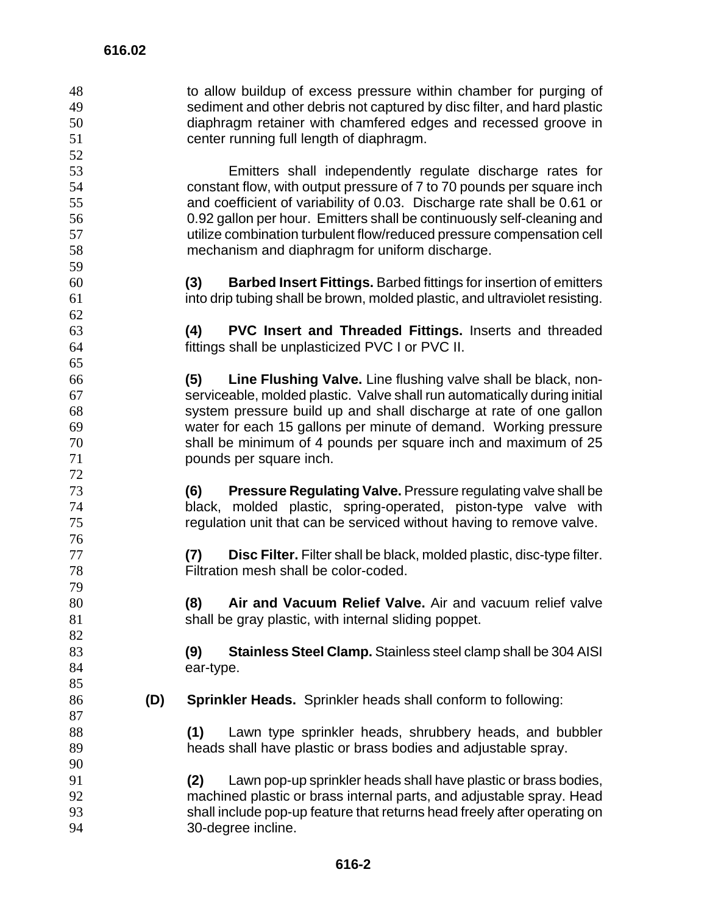to allow buildup of excess pressure within chamber for purging of sediment and other debris not captured by disc filter, and hard plastic diaphragm retainer with chamfered edges and recessed groove in center running full length of diaphragm. Emitters shall independently regulate discharge rates for constant flow, with output pressure of 7 to 70 pounds per square inch and coefficient of variability of 0.03. Discharge rate shall be 0.61 or 0.92 gallon per hour. Emitters shall be continuously self-cleaning and utilize combination turbulent flow/reduced pressure compensation cell mechanism and diaphragm for uniform discharge. **(3) Barbed Insert Fittings.** Barbed fittings for insertion of emitters into drip tubing shall be brown, molded plastic, and ultraviolet resisting. **(4) PVC Insert and Threaded Fittings.** Inserts and threaded fittings shall be unplasticized PVC I or PVC II. **(5) Line Flushing Valve.** Line flushing valve shall be black, non-serviceable, molded plastic. Valve shall run automatically during initial system pressure build up and shall discharge at rate of one gallon water for each 15 gallons per minute of demand. Working pressure shall be minimum of 4 pounds per square inch and maximum of 25 pounds per square inch. **(6) Pressure Regulating Valve.** Pressure regulating valve shall be black, molded plastic, spring-operated, piston-type valve with regulation unit that can be serviced without having to remove valve. **(7) Disc Filter.** Filter shall be black, molded plastic, disc-type filter. Filtration mesh shall be color-coded. **(8) Air and Vacuum Relief Valve.** Air and vacuum relief valve 81 shall be gray plastic, with internal sliding poppet. **(9) Stainless Steel Clamp.** Stainless steel clamp shall be 304 AISI 84 ear-type. **(D) Sprinkler Heads.** Sprinkler heads shall conform to following: **(1)** Lawn type sprinkler heads, shrubbery heads, and bubbler heads shall have plastic or brass bodies and adjustable spray. **(2)** Lawn pop-up sprinkler heads shall have plastic or brass bodies, machined plastic or brass internal parts, and adjustable spray. Head shall include pop-up feature that returns head freely after operating on 30-degree incline.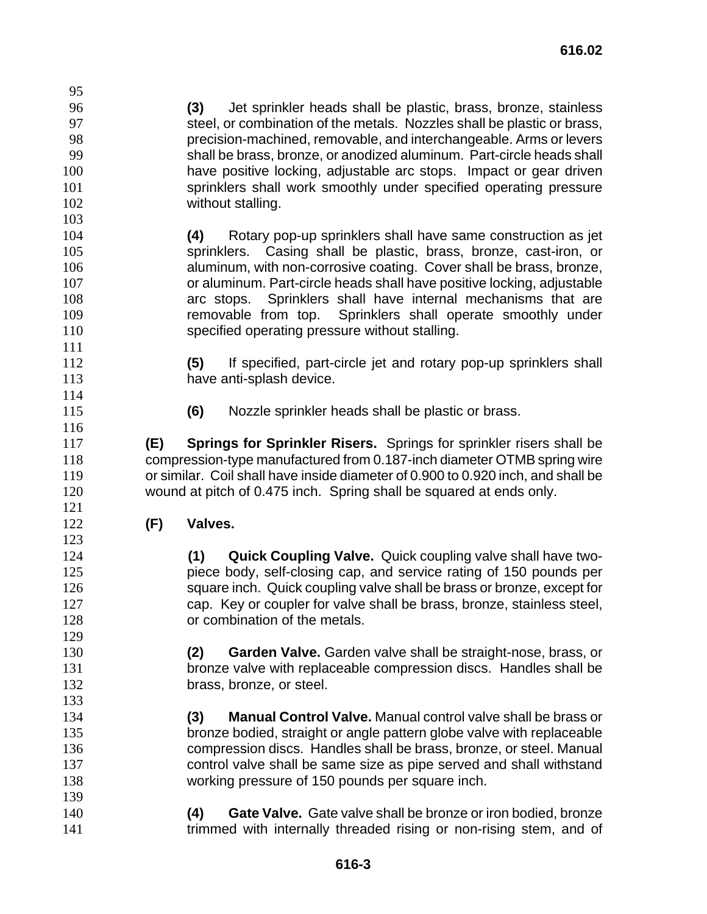**(3)** Jet sprinkler heads shall be plastic, brass, bronze, stainless steel, or combination of the metals. Nozzles shall be plastic or brass, precision-machined, removable, and interchangeable. Arms or levers shall be brass, bronze, or anodized aluminum. Part-circle heads shall have positive locking, adjustable arc stops. Impact or gear driven sprinklers shall work smoothly under specified operating pressure 102 without stalling. **(4)** Rotary pop-up sprinklers shall have same construction as jet sprinklers. Casing shall be plastic, brass, bronze, cast-iron, or aluminum, with non-corrosive coating. Cover shall be brass, bronze,

or aluminum. Part-circle heads shall have positive locking, adjustable arc stops. Sprinklers shall have internal mechanisms that are removable from top. Sprinklers shall operate smoothly under specified operating pressure without stalling.

**(5)** If specified, part-circle jet and rotary pop-up sprinklers shall have anti-splash device.

**(6)** Nozzle sprinkler heads shall be plastic or brass.

**(E) Springs for Sprinkler Risers.** Springs for sprinkler risers shall be compression-type manufactured from 0.187-inch diameter OTMB spring wire or similar. Coil shall have inside diameter of 0.900 to 0.920 inch, and shall be wound at pitch of 0.475 inch. Spring shall be squared at ends only.

**(F) Valves.** 

**(1) Quick Coupling Valve.** Quick coupling valve shall have two-piece body, self-closing cap, and service rating of 150 pounds per square inch. Quick coupling valve shall be brass or bronze, except for cap. Key or coupler for valve shall be brass, bronze, stainless steel, **b** or combination of the metals.

**(2) Garden Valve.** Garden valve shall be straight-nose, brass, or bronze valve with replaceable compression discs. Handles shall be **brass**, bronze, or steel.

**(3) Manual Control Valve.** Manual control valve shall be brass or bronze bodied, straight or angle pattern globe valve with replaceable compression discs. Handles shall be brass, bronze, or steel. Manual control valve shall be same size as pipe served and shall withstand working pressure of 150 pounds per square inch.

**(4) Gate Valve.** Gate valve shall be bronze or iron bodied, bronze **trimmed with internally threaded rising or non-rising stem, and of**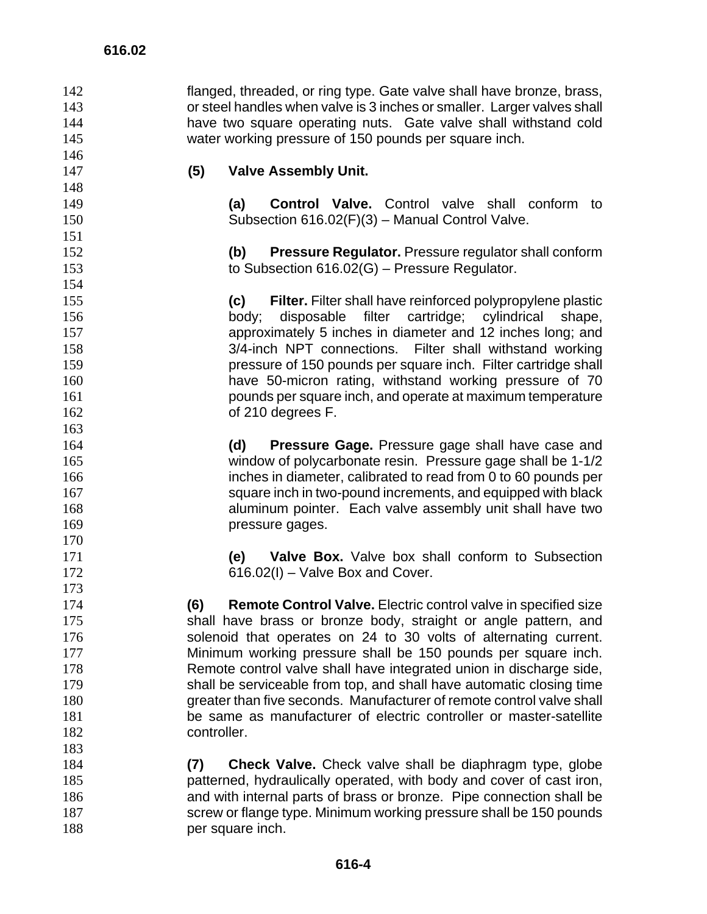flanged, threaded, or ring type. Gate valve shall have bronze, brass, or steel handles when valve is 3 inches or smaller. Larger valves shall have two square operating nuts. Gate valve shall withstand cold water working pressure of 150 pounds per square inch. **(5) Valve Assembly Unit. (a) Control Valve.** Control valve shall conform to Subsection 616.02(F)(3) – Manual Control Valve. **(b) Pressure Regulator.** Pressure regulator shall conform to Subsection 616.02(G) – Pressure Regulator. **(c) Filter.** Filter shall have reinforced polypropylene plastic body; disposable filter cartridge; cylindrical shape, approximately 5 inches in diameter and 12 inches long; and 3/4-inch NPT connections. Filter shall withstand working pressure of 150 pounds per square inch. Filter cartridge shall have 50-micron rating, withstand working pressure of 70 pounds per square inch, and operate at maximum temperature of 210 degrees F. **(d) Pressure Gage.** Pressure gage shall have case and window of polycarbonate resin. Pressure gage shall be 1-1/2 inches in diameter, calibrated to read from 0 to 60 pounds per square inch in two-pound increments, and equipped with black aluminum pointer. Each valve assembly unit shall have two **pressure gages. (e) Valve Box.** Valve box shall conform to Subsection 172 616.02(I) – Valve Box and Cover. **(6) Remote Control Valve.** Electric control valve in specified size shall have brass or bronze body, straight or angle pattern, and solenoid that operates on 24 to 30 volts of alternating current. Minimum working pressure shall be 150 pounds per square inch. Remote control valve shall have integrated union in discharge side, shall be serviceable from top, and shall have automatic closing time 180 greater than five seconds. Manufacturer of remote control valve shall be same as manufacturer of electric controller or master-satellite controller. **(7) Check Valve.** Check valve shall be diaphragm type, globe patterned, hydraulically operated, with body and cover of cast iron, and with internal parts of brass or bronze. Pipe connection shall be 187 screw or flange type. Minimum working pressure shall be 150 pounds **per square inch.**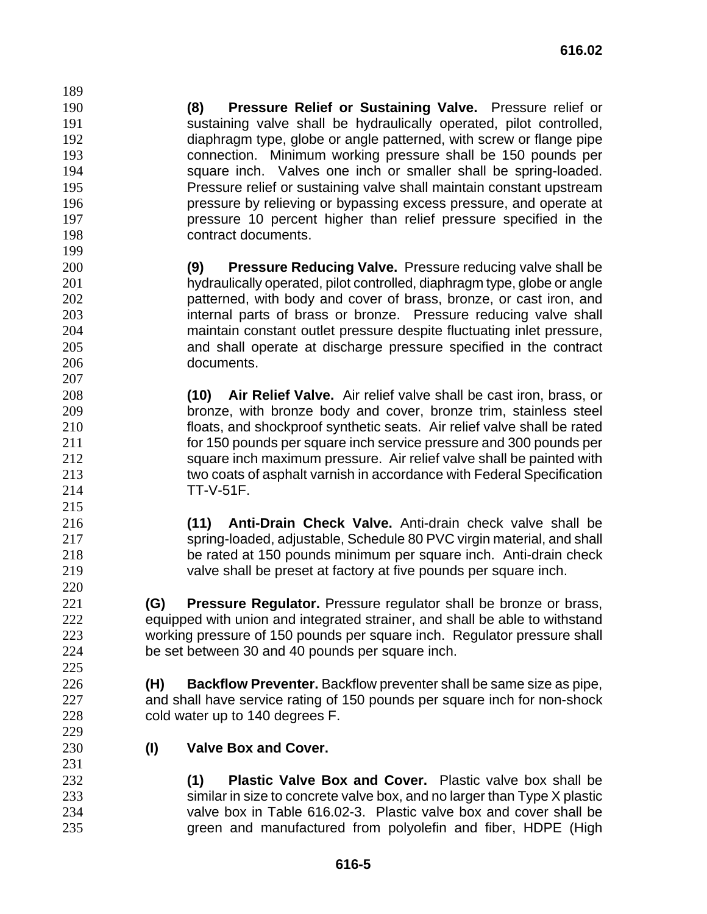**(8) Pressure Relief or Sustaining Valve.** Pressure relief or sustaining valve shall be hydraulically operated, pilot controlled, diaphragm type, globe or angle patterned, with screw or flange pipe connection. Minimum working pressure shall be 150 pounds per square inch. Valves one inch or smaller shall be spring-loaded. Pressure relief or sustaining valve shall maintain constant upstream pressure by relieving or bypassing excess pressure, and operate at pressure 10 percent higher than relief pressure specified in the contract documents.

- **(9) Pressure Reducing Valve.** Pressure reducing valve shall be hydraulically operated, pilot controlled, diaphragm type, globe or angle patterned, with body and cover of brass, bronze, or cast iron, and internal parts of brass or bronze. Pressure reducing valve shall maintain constant outlet pressure despite fluctuating inlet pressure, and shall operate at discharge pressure specified in the contract documents.
- **(10) Air Relief Valve.** Air relief valve shall be cast iron, brass, or bronze, with bronze body and cover, bronze trim, stainless steel floats, and shockproof synthetic seats. Air relief valve shall be rated for 150 pounds per square inch service pressure and 300 pounds per square inch maximum pressure. Air relief valve shall be painted with two coats of asphalt varnish in accordance with Federal Specification TT-V-51F.
- **(11) Anti-Drain Check Valve.** Anti-drain check valve shall be spring-loaded, adjustable, Schedule 80 PVC virgin material, and shall be rated at 150 pounds minimum per square inch. Anti-drain check valve shall be preset at factory at five pounds per square inch.

**(G) Pressure Regulator.** Pressure regulator shall be bronze or brass, equipped with union and integrated strainer, and shall be able to withstand working pressure of 150 pounds per square inch. Regulator pressure shall be set between 30 and 40 pounds per square inch.

- **(H) Backflow Preventer.** Backflow preventer shall be same size as pipe, and shall have service rating of 150 pounds per square inch for non-shock cold water up to 140 degrees F.
- **(I) Valve Box and Cover.**

**(1) Plastic Valve Box and Cover.** Plastic valve box shall be similar in size to concrete valve box, and no larger than Type X plastic valve box in Table 616.02-3. Plastic valve box and cover shall be green and manufactured from polyolefin and fiber, HDPE (High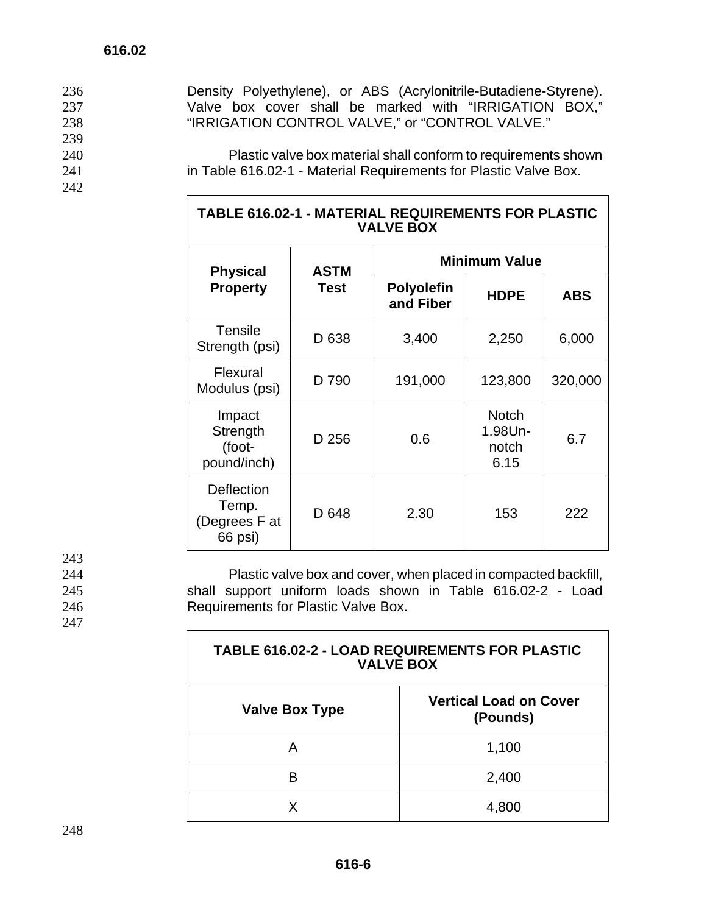| 236 | Density Polyethylene), or ABS (Acrylonitrile-Butadiene-Styrene). |
|-----|------------------------------------------------------------------|
| 237 | Valve box cover shall be marked with "IRRIGATION BOX,"           |
| 238 | "IRRIGATION CONTROL VALVE," or "CONTROL VALVE."                  |
| 239 |                                                                  |
| 240 | Plastic valve box material shall conform to requirements shown   |
| 241 | in Table 616.02-1 - Material Requirements for Plastic Valve Box. |
| 242 |                                                                  |
|     |                                                                  |

| <b>TABLE 616.02-1 - MATERIAL REQUIREMENTS FOR PLASTIC</b><br><b>VALVE BOX</b> |
|-------------------------------------------------------------------------------|
|-------------------------------------------------------------------------------|

| <b>Physical</b>                                 | <b>ASTM</b> | <b>Minimum Value</b>           |                                          |            |  |
|-------------------------------------------------|-------------|--------------------------------|------------------------------------------|------------|--|
| <b>Property</b>                                 | <b>Test</b> | <b>Polyolefin</b><br>and Fiber | <b>HDPE</b>                              | <b>ABS</b> |  |
| <b>Tensile</b><br>Strength (psi)                | D 638       | 3,400                          | 2,250                                    | 6,000      |  |
| Flexural<br>Modulus (psi)                       | D 790       | 191,000                        | 123,800                                  | 320,000    |  |
| Impact<br>Strength<br>(foot-<br>pound/inch)     | D 256       | 0.6                            | <b>Notch</b><br>1.98Un-<br>notch<br>6.15 | 6.7        |  |
| Deflection<br>Temp.<br>(Degrees F at<br>66 psi) | D 648       | 2.30                           | 153                                      | 222        |  |

243<br>244

247

244 Plastic valve box and cover, when placed in compacted backfill,<br>245 Shall support uniform loads shown in Table 616.02-2 - Load 245 shall support uniform loads shown in Table 616.02-2 - Load 246 Requirements for Plastic Valve Box.

| <b>TABLE 616.02-2 - LOAD REQUIREMENTS FOR PLASTIC</b><br><b>VALVE BOX</b> |                                           |  |  |
|---------------------------------------------------------------------------|-------------------------------------------|--|--|
| <b>Valve Box Type</b>                                                     | <b>Vertical Load on Cover</b><br>(Pounds) |  |  |
| А                                                                         | 1,100                                     |  |  |
| в                                                                         | 2,400                                     |  |  |
| x                                                                         | 4,800                                     |  |  |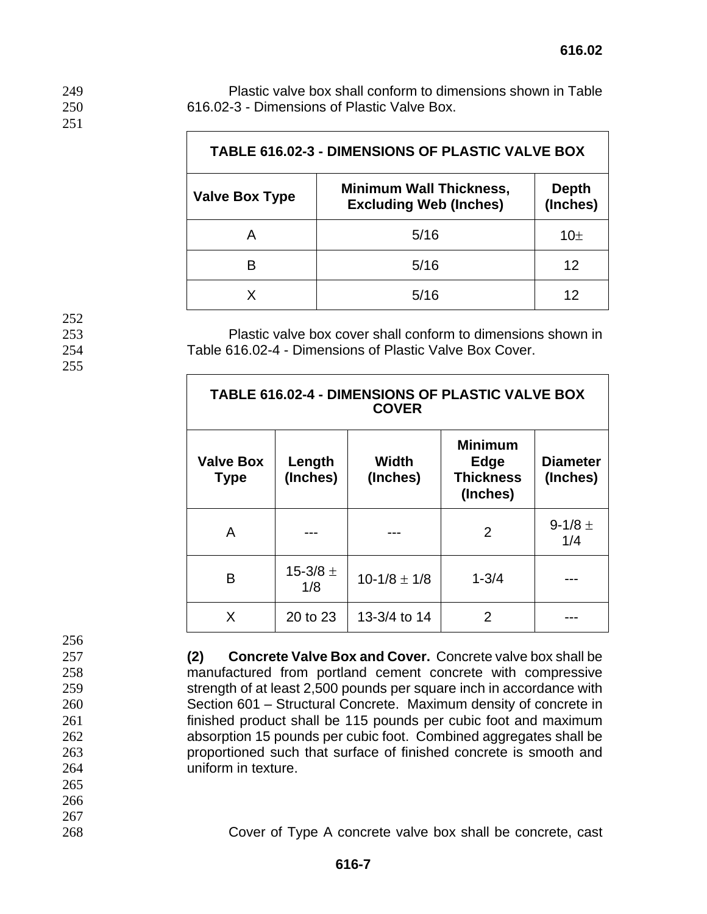| <b>TABLE 616.02-3 - DIMENSIONS OF PLASTIC VALVE BOX</b> |                                                                 |                          |  |  |
|---------------------------------------------------------|-----------------------------------------------------------------|--------------------------|--|--|
| <b>Valve Box Type</b>                                   | <b>Minimum Wall Thickness,</b><br><b>Excluding Web (Inches)</b> | <b>Depth</b><br>(Inches) |  |  |
|                                                         | 5/16                                                            | 10 <sub>±</sub>          |  |  |
|                                                         | 5/16                                                            | 12                       |  |  |
|                                                         | 5/16                                                            | 12                       |  |  |

252

251

 $\overline{\Gamma}$ 

255

253 Plastic valve box cover shall conform to dimensions shown in 254 Table 616.02-4 - Dimensions of Plastic Valve Box Cover.

| TABLE 616.02-4 - DIMENSIONS OF PLASTIC VALVE BOX<br><b>COVER</b> |                     |                   |                                                        |                             |  |
|------------------------------------------------------------------|---------------------|-------------------|--------------------------------------------------------|-----------------------------|--|
| <b>Valve Box</b><br><b>Type</b>                                  | Length<br>(Inches)  | Width<br>(Inches) | <b>Minimum</b><br>Edge<br><b>Thickness</b><br>(Inches) | <b>Diameter</b><br>(Inches) |  |
| A                                                                |                     |                   | $\overline{2}$                                         | 9-1/8 $\pm$<br>1/4          |  |
| В                                                                | 15-3/8 $\pm$<br>1/8 | $10-1/8 \pm 1/8$  | $1 - 3/4$                                              |                             |  |
| X                                                                | 20 to 23            | 13-3/4 to 14      | 2                                                      |                             |  |

256

265

266 267

**(2) Concrete Valve Box and Cover.** Concrete valve box shall be manufactured from portland cement concrete with compressive strength of at least 2,500 pounds per square inch in accordance with Section 601 – Structural Concrete. Maximum density of concrete in finished product shall be 115 pounds per cubic foot and maximum absorption 15 pounds per cubic foot. Combined aggregates shall be proportioned such that surface of finished concrete is smooth and uniform in texture.

268 Cover of Type A concrete valve box shall be concrete, cast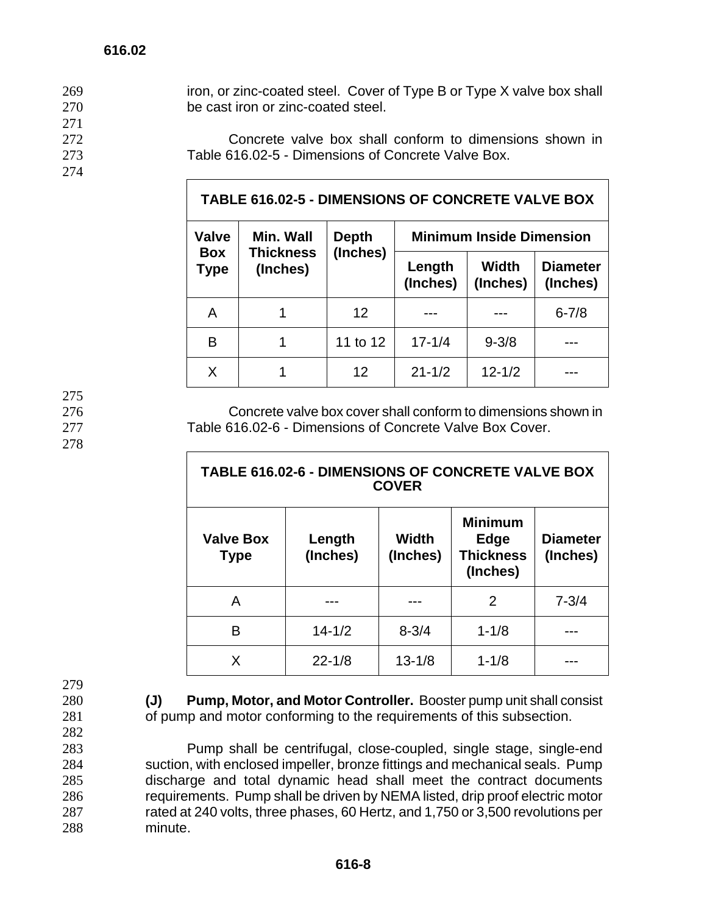| 269 | iron, or zinc-coated steel. Cover of Type B or Type X valve box shall |
|-----|-----------------------------------------------------------------------|
| 270 | be cast iron or zinc-coated steel.                                    |
| 271 |                                                                       |
| 272 | Concrete valve box shall conform to dimensions shown in               |
| 273 | Table 616.02-5 - Dimensions of Concrete Valve Box.                    |
| 274 |                                                                       |
|     | TADI F 646.00 E DIMENSIONS OF CONCRETE VALUE BOY                      |

| TABLE 616.02-5 - DIMENSIONS OF CONCRETE VALVE BOX |                                           |                   |                                 |                          |                             |  |
|---------------------------------------------------|-------------------------------------------|-------------------|---------------------------------|--------------------------|-----------------------------|--|
| Valve                                             | Min. Wall<br><b>Thickness</b><br>(Inches) | Depth<br>(Inches) | <b>Minimum Inside Dimension</b> |                          |                             |  |
| Box<br>Type                                       |                                           |                   | Length<br>(Inches)              | <b>Width</b><br>(Inches) | <b>Diameter</b><br>(Inches) |  |
| A                                                 |                                           | 12 <sup>2</sup>   |                                 |                          | $6 - 7/8$                   |  |
| B                                                 |                                           | 11 to 12          | $17 - 1/4$                      | $9 - 3/8$                |                             |  |
| X                                                 |                                           | 12                | $21 - 1/2$                      | $12 - 1/2$               |                             |  |

275

278

 $\Gamma$ 

276 Concrete valve box cover shall conform to dimensions shown in 277 Table 616.02-6 - Dimensions of Concrete Valve Box Cover.

٦

| TABLE 616.02-6 - DIMENSIONS OF CONCRETE VALVE BOX<br><b>COVER</b> |            |                   |                                                        |           |
|-------------------------------------------------------------------|------------|-------------------|--------------------------------------------------------|-----------|
| <b>Valve Box</b><br>Length<br>(Inches)<br><b>Type</b>             |            | Width<br>(Inches) | <b>Minimum</b><br>Edge<br><b>Thickness</b><br>(Inches) |           |
| A                                                                 |            |                   | 2                                                      | $7 - 3/4$ |
| в                                                                 | $14 - 1/2$ | $8 - 3/4$         | $1 - 1/8$                                              |           |
| x                                                                 | $22 - 1/8$ | $13 - 1/8$        | $1 - 1/8$                                              |           |

279

- 
- 282

280 **(J) Pump, Motor, and Motor Controller.** Booster pump unit shall consist 281 of pump and motor conforming to the requirements of this subsection.

Pump shall be centrifugal, close-coupled, single stage, single-end suction, with enclosed impeller, bronze fittings and mechanical seals. Pump discharge and total dynamic head shall meet the contract documents requirements. Pump shall be driven by NEMA listed, drip proof electric motor rated at 240 volts, three phases, 60 Hertz, and 1,750 or 3,500 revolutions per 288 minute.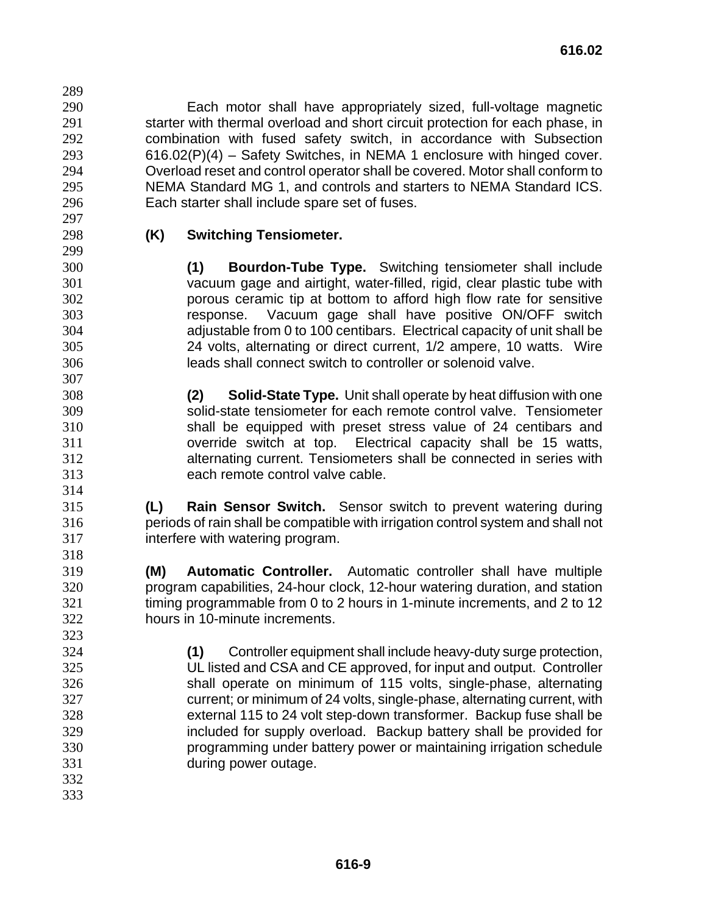Each motor shall have appropriately sized, full-voltage magnetic starter with thermal overload and short circuit protection for each phase, in combination with fused safety switch, in accordance with Subsection 616.02(P)(4) – Safety Switches, in NEMA 1 enclosure with hinged cover. Overload reset and control operator shall be covered. Motor shall conform to NEMA Standard MG 1, and controls and starters to NEMA Standard ICS. Each starter shall include spare set of fuses.

 

# **(K) Switching Tensiometer.**

**(1) Bourdon-Tube Type.** Switching tensiometer shall include vacuum gage and airtight, water-filled, rigid, clear plastic tube with porous ceramic tip at bottom to afford high flow rate for sensitive response. Vacuum gage shall have positive ON/OFF switch adjustable from 0 to 100 centibars. Electrical capacity of unit shall be 24 volts, alternating or direct current, 1/2 ampere, 10 watts. Wire leads shall connect switch to controller or solenoid valve.

**(2) Solid-State Type.** Unit shall operate by heat diffusion with one solid-state tensiometer for each remote control valve. Tensiometer shall be equipped with preset stress value of 24 centibars and override switch at top. Electrical capacity shall be 15 watts, alternating current. Tensiometers shall be connected in series with each remote control valve cable.

**(L) Rain Sensor Switch.** Sensor switch to prevent watering during periods of rain shall be compatible with irrigation control system and shall not interfere with watering program.

**(M) Automatic Controller.** Automatic controller shall have multiple program capabilities, 24-hour clock, 12-hour watering duration, and station 321 timing programmable from 0 to 2 hours in 1-minute increments, and 2 to 12 hours in 10-minute increments.

**(1)** Controller equipment shall include heavy-duty surge protection, UL listed and CSA and CE approved, for input and output. Controller shall operate on minimum of 115 volts, single-phase, alternating current; or minimum of 24 volts, single-phase, alternating current, with external 115 to 24 volt step-down transformer. Backup fuse shall be included for supply overload. Backup battery shall be provided for programming under battery power or maintaining irrigation schedule during power outage.

- 
-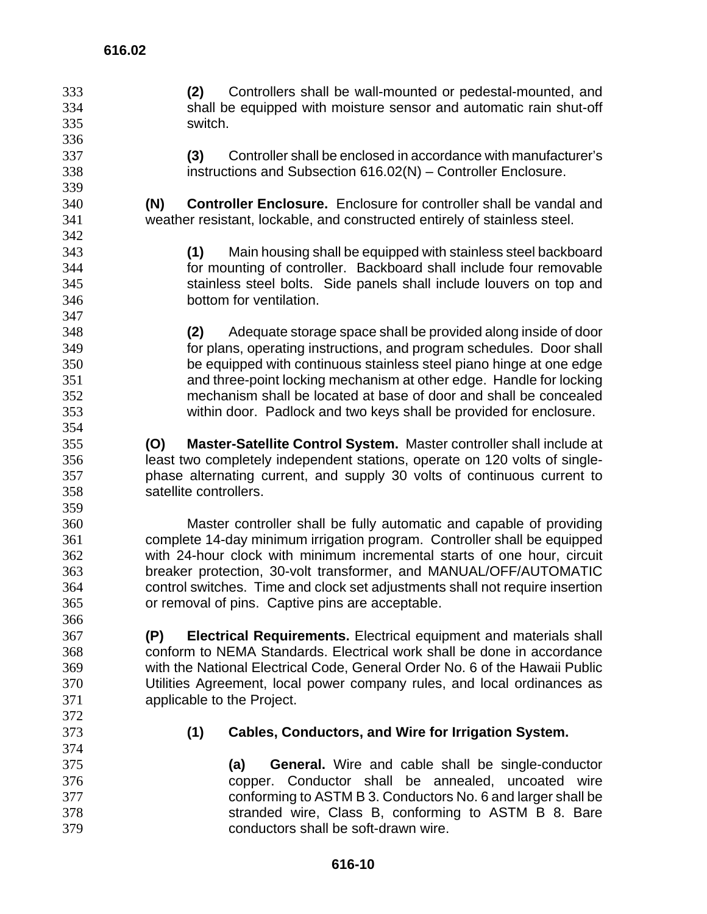**(2)** Controllers shall be wall-mounted or pedestal-mounted, and shall be equipped with moisture sensor and automatic rain shut-off switch. **(3)** Controller shall be enclosed in accordance with manufacturer's instructions and Subsection 616.02(N) – Controller Enclosure. **(N) Controller Enclosure.** Enclosure for controller shall be vandal and weather resistant, lockable, and constructed entirely of stainless steel. **(1)** Main housing shall be equipped with stainless steel backboard for mounting of controller. Backboard shall include four removable stainless steel bolts. Side panels shall include louvers on top and bottom for ventilation. **(2)** Adequate storage space shall be provided along inside of door for plans, operating instructions, and program schedules. Door shall be equipped with continuous stainless steel piano hinge at one edge and three-point locking mechanism at other edge. Handle for locking mechanism shall be located at base of door and shall be concealed within door. Padlock and two keys shall be provided for enclosure. **(O) Master-Satellite Control System.** Master controller shall include at least two completely independent stations, operate on 120 volts of single-phase alternating current, and supply 30 volts of continuous current to satellite controllers. Master controller shall be fully automatic and capable of providing complete 14-day minimum irrigation program. Controller shall be equipped with 24-hour clock with minimum incremental starts of one hour, circuit breaker protection, 30-volt transformer, and MANUAL/OFF/AUTOMATIC control switches. Time and clock set adjustments shall not require insertion or removal of pins. Captive pins are acceptable. **(P) Electrical Requirements.** Electrical equipment and materials shall conform to NEMA Standards. Electrical work shall be done in accordance with the National Electrical Code, General Order No. 6 of the Hawaii Public Utilities Agreement, local power company rules, and local ordinances as applicable to the Project. **(1) Cables, Conductors, and Wire for Irrigation System. (a) General.** Wire and cable shall be single-conductor copper. Conductor shall be annealed, uncoated wire conforming to ASTM B 3. Conductors No. 6 and larger shall be stranded wire, Class B, conforming to ASTM B 8. Bare conductors shall be soft-drawn wire.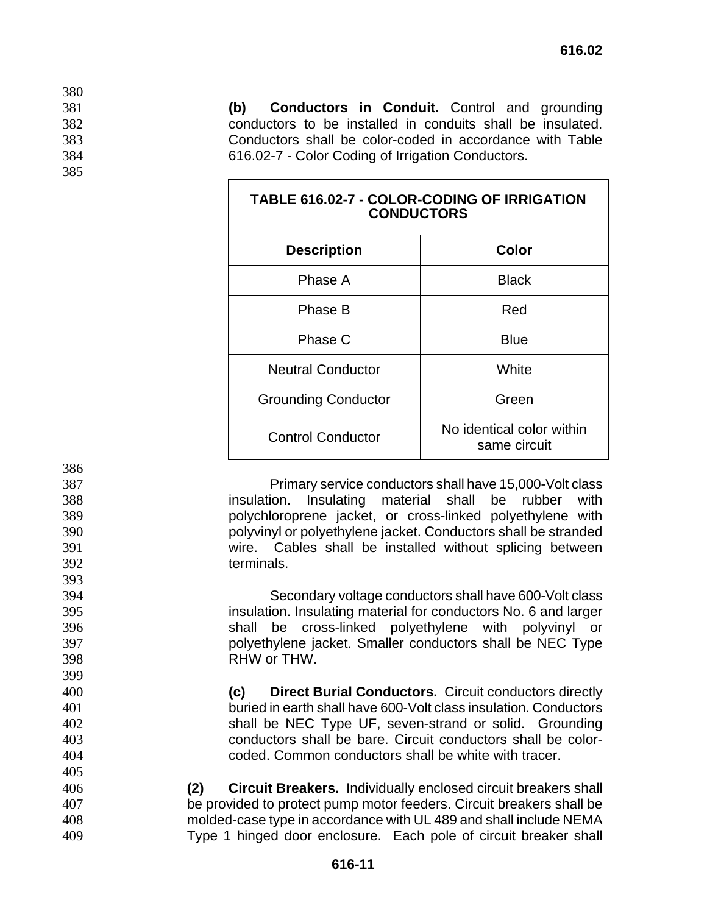**(b) Conductors in Conduit.** Control and grounding conductors to be installed in conduits shall be insulated. Conductors shall be color-coded in accordance with Table 616.02-7 - Color Coding of Irrigation Conductors.

| <b>TABLE 616.02-7 - COLOR-CODING OF IRRIGATION</b><br><b>CONDUCTORS</b> |                                           |  |  |
|-------------------------------------------------------------------------|-------------------------------------------|--|--|
| <b>Description</b>                                                      | <b>Color</b>                              |  |  |
| Phase A                                                                 | <b>Black</b>                              |  |  |
| Phase B                                                                 | Red                                       |  |  |
| Phase C                                                                 | <b>Blue</b>                               |  |  |
| <b>Neutral Conductor</b>                                                | White                                     |  |  |
| <b>Grounding Conductor</b>                                              | Green                                     |  |  |
| <b>Control Conductor</b>                                                | No identical color within<br>same circuit |  |  |

Primary service conductors shall have 15,000-Volt class insulation. Insulating material shall be rubber with polychloroprene jacket, or cross-linked polyethylene with polyvinyl or polyethylene jacket. Conductors shall be stranded wire. Cables shall be installed without splicing between terminals.

Secondary voltage conductors shall have 600-Volt class insulation. Insulating material for conductors No. 6 and larger shall be cross-linked polyethylene with polyvinyl or polyethylene jacket. Smaller conductors shall be NEC Type RHW or THW.

**(c) Direct Burial Conductors.** Circuit conductors directly buried in earth shall have 600-Volt class insulation. Conductors shall be NEC Type UF, seven-strand or solid. Grounding conductors shall be bare. Circuit conductors shall be color-coded. Common conductors shall be white with tracer.

**(2) Circuit Breakers.** Individually enclosed circuit breakers shall be provided to protect pump motor feeders. Circuit breakers shall be molded-case type in accordance with UL 489 and shall include NEMA Type 1 hinged door enclosure. Each pole of circuit breaker shall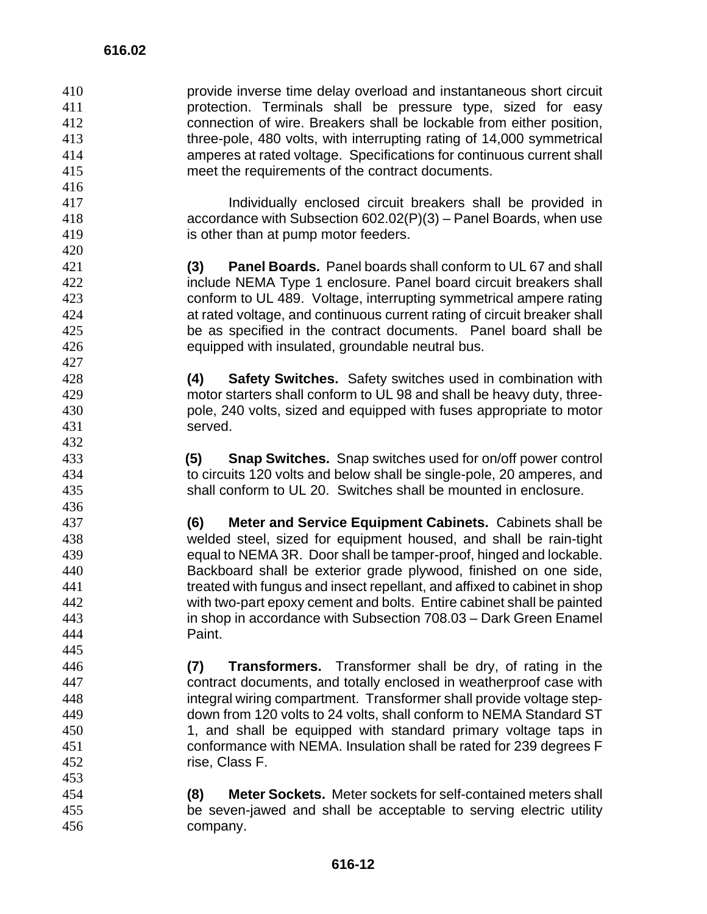provide inverse time delay overload and instantaneous short circuit protection. Terminals shall be pressure type, sized for easy connection of wire. Breakers shall be lockable from either position, three-pole, 480 volts, with interrupting rating of 14,000 symmetrical amperes at rated voltage. Specifications for continuous current shall meet the requirements of the contract documents.

Individually enclosed circuit breakers shall be provided in accordance with Subsection 602.02(P)(3) – Panel Boards, when use is other than at pump motor feeders.

**(3) Panel Boards.** Panel boards shall conform to UL 67 and shall include NEMA Type 1 enclosure. Panel board circuit breakers shall conform to UL 489. Voltage, interrupting symmetrical ampere rating at rated voltage, and continuous current rating of circuit breaker shall be as specified in the contract documents. Panel board shall be equipped with insulated, groundable neutral bus.

**(4) Safety Switches.** Safety switches used in combination with motor starters shall conform to UL 98 and shall be heavy duty, three-pole, 240 volts, sized and equipped with fuses appropriate to motor served.

**(5) Snap Switches.** Snap switches used for on/off power control to circuits 120 volts and below shall be single-pole, 20 amperes, and shall conform to UL 20. Switches shall be mounted in enclosure.

**(6) Meter and Service Equipment Cabinets.** Cabinets shall be welded steel, sized for equipment housed, and shall be rain-tight equal to NEMA 3R. Door shall be tamper-proof, hinged and lockable. Backboard shall be exterior grade plywood, finished on one side, treated with fungus and insect repellant, and affixed to cabinet in shop with two-part epoxy cement and bolts. Entire cabinet shall be painted in shop in accordance with Subsection 708.03 – Dark Green Enamel Paint.

- **(7) Transformers.** Transformer shall be dry, of rating in the contract documents, and totally enclosed in weatherproof case with integral wiring compartment. Transformer shall provide voltage step-down from 120 volts to 24 volts, shall conform to NEMA Standard ST 1, and shall be equipped with standard primary voltage taps in conformance with NEMA. Insulation shall be rated for 239 degrees F rise, Class F.
- **(8) Meter Sockets.** Meter sockets for self-contained meters shall be seven-jawed and shall be acceptable to serving electric utility company.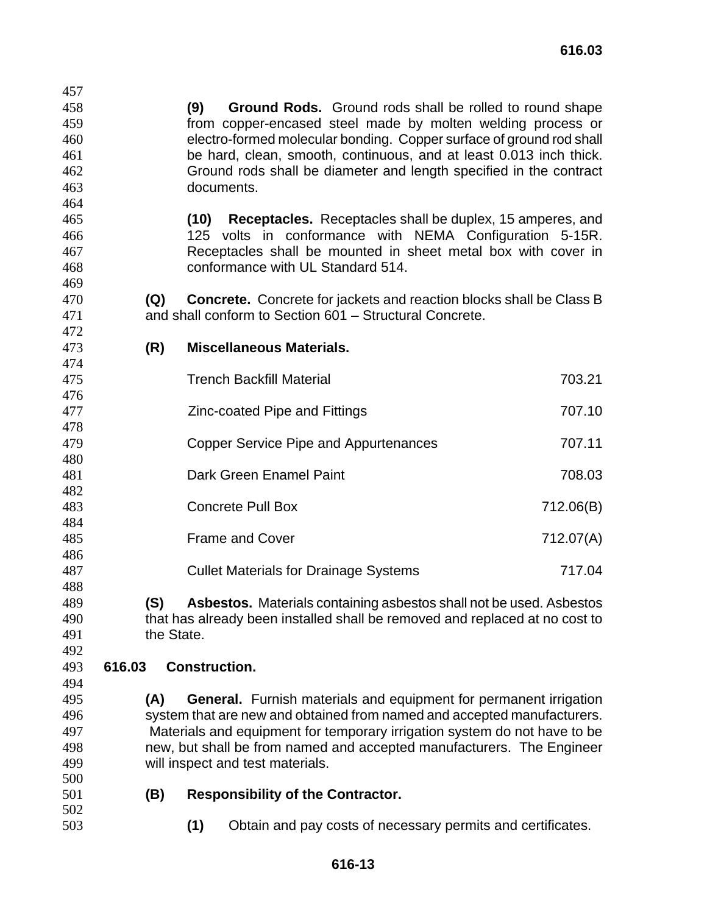**(9) Ground Rods.** Ground rods shall be rolled to round shape from copper-encased steel made by molten welding process or electro-formed molecular bonding. Copper surface of ground rod shall be hard, clean, smooth, continuous, and at least 0.013 inch thick. Ground rods shall be diameter and length specified in the contract documents.

- **(10) Receptacles.** Receptacles shall be duplex, 15 amperes, and 125 volts in conformance with NEMA Configuration 5-15R. Receptacles shall be mounted in sheet metal box with cover in conformance with UL Standard 514.
- **(Q) Concrete.** Concrete for jackets and reaction blocks shall be Class B and shall conform to Section 601 – Structural Concrete.
- 

- **(R) Miscellaneous Materials.**
- Trench Backfill Material 703.21 Zinc-coated Pipe and Fittings 707.10 **Copper Service Pipe and Appurtenances** 707.11 Dark Green Enamel Paint 708.03 Concrete Pull Box 712.06(B) **Frame and Cover 712.07(A)**  Cullet Materials for Drainage Systems 717.04
- **(S) Asbestos.** Materials containing asbestos shall not be used. Asbestos that has already been installed shall be removed and replaced at no cost to the State.
- 

## **616.03 Construction.**

- 
- **(A) General.** Furnish materials and equipment for permanent irrigation system that are new and obtained from named and accepted manufacturers. Materials and equipment for temporary irrigation system do not have to be new, but shall be from named and accepted manufacturers. The Engineer will inspect and test materials.
- **(B) Responsibility of the Contractor.**
- 

**(1)** Obtain and pay costs of necessary permits and certificates.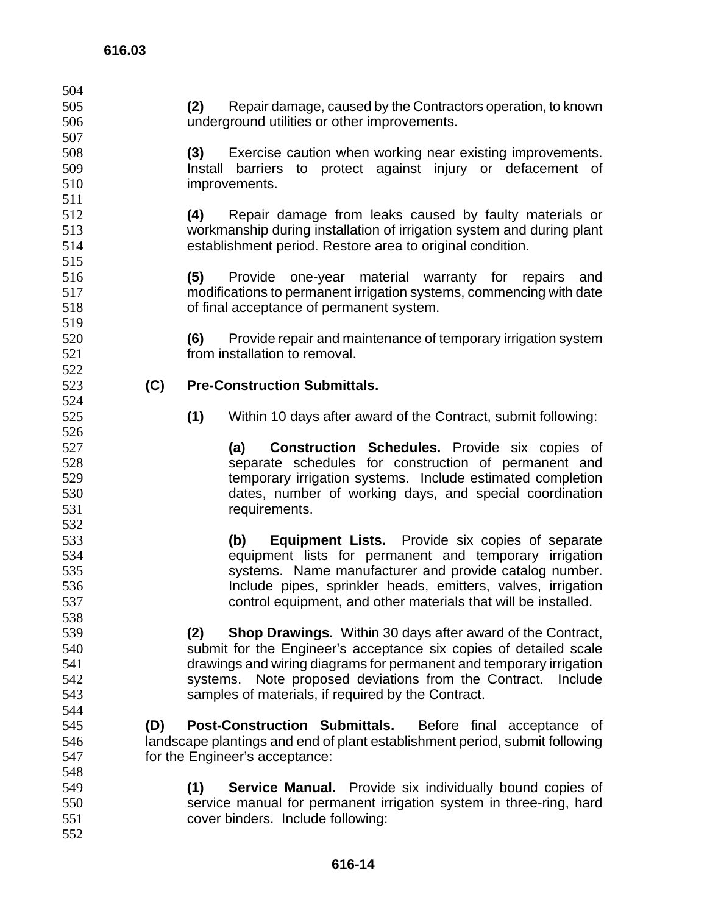**(2)** Repair damage, caused by the Contractors operation, to known underground utilities or other improvements. **(3)** Exercise caution when working near existing improvements. Install barriers to protect against injury or defacement of improvements. **(4)** Repair damage from leaks caused by faulty materials or workmanship during installation of irrigation system and during plant establishment period. Restore area to original condition. **(5)** Provide one-year material warranty for repairs and modifications to permanent irrigation systems, commencing with date of final acceptance of permanent system. **(6)** Provide repair and maintenance of temporary irrigation system from installation to removal. **(C) Pre-Construction Submittals. (1)** Within 10 days after award of the Contract, submit following: **(a) Construction Schedules.** Provide six copies of separate schedules for construction of permanent and temporary irrigation systems. Include estimated completion dates, number of working days, and special coordination requirements. **(b) Equipment Lists.** Provide six copies of separate equipment lists for permanent and temporary irrigation systems. Name manufacturer and provide catalog number. Include pipes, sprinkler heads, emitters, valves, irrigation control equipment, and other materials that will be installed. **(2) Shop Drawings.** Within 30 days after award of the Contract, submit for the Engineer's acceptance six copies of detailed scale drawings and wiring diagrams for permanent and temporary irrigation systems. Note proposed deviations from the Contract. Include samples of materials, if required by the Contract. **(D) Post-Construction Submittals.** Before final acceptance of landscape plantings and end of plant establishment period, submit following for the Engineer's acceptance: **(1) Service Manual.** Provide six individually bound copies of service manual for permanent irrigation system in three-ring, hard cover binders. Include following: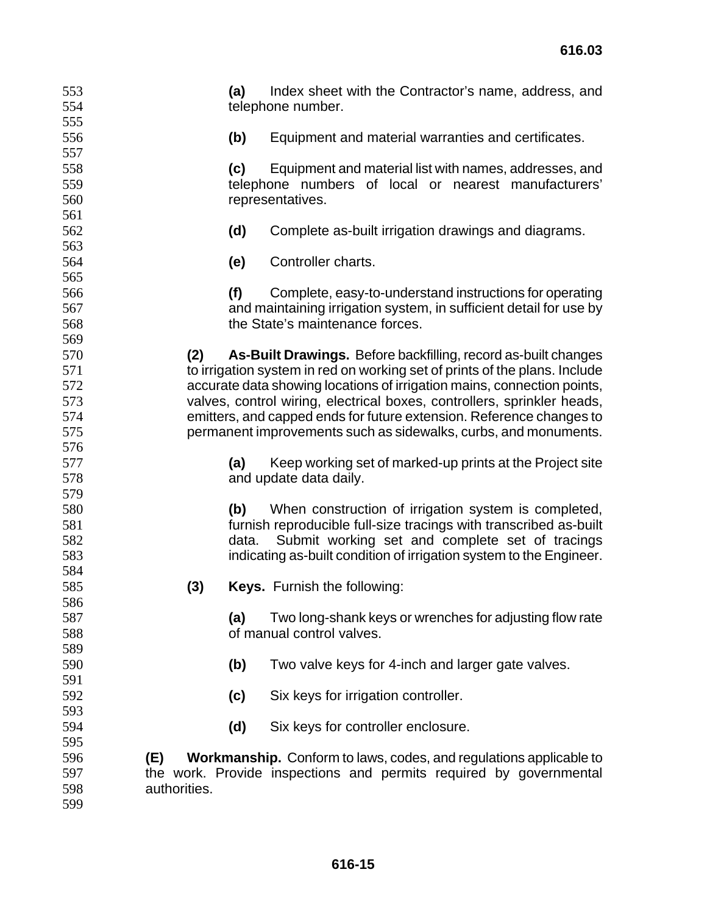| 553<br>554        |              | (a)   | Index sheet with the Contractor's name, address, and<br>telephone number.                                            |
|-------------------|--------------|-------|----------------------------------------------------------------------------------------------------------------------|
| 555<br>556<br>557 |              | (b)   | Equipment and material warranties and certificates.                                                                  |
| 558               |              | (c)   | Equipment and material list with names, addresses, and                                                               |
| 559<br>560        |              |       | telephone numbers of local or nearest manufacturers'<br>representatives.                                             |
| 561               |              |       |                                                                                                                      |
| 562<br>563        |              | (d)   | Complete as-built irrigation drawings and diagrams.                                                                  |
| 564               |              | (e)   | Controller charts.                                                                                                   |
| 565               |              |       |                                                                                                                      |
| 566               |              | (f)   | Complete, easy-to-understand instructions for operating                                                              |
| 567<br>568        |              |       | and maintaining irrigation system, in sufficient detail for use by<br>the State's maintenance forces.                |
| 569               |              |       |                                                                                                                      |
| 570               | (2)          |       | As-Built Drawings. Before backfilling, record as-built changes                                                       |
| 571               |              |       | to irrigation system in red on working set of prints of the plans. Include                                           |
| 572               |              |       | accurate data showing locations of irrigation mains, connection points,                                              |
| 573               |              |       | valves, control wiring, electrical boxes, controllers, sprinkler heads,                                              |
| 574               |              |       | emitters, and capped ends for future extension. Reference changes to                                                 |
| 575               |              |       | permanent improvements such as sidewalks, curbs, and monuments.                                                      |
| 576               |              |       |                                                                                                                      |
| 577               |              | (a)   | Keep working set of marked-up prints at the Project site                                                             |
| 578               |              |       | and update data daily.                                                                                               |
| 579               |              |       |                                                                                                                      |
| 580               |              | (b)   | When construction of irrigation system is completed,                                                                 |
| 581<br>582        |              | data. | furnish reproducible full-size tracings with transcribed as-built<br>Submit working set and complete set of tracings |
| 583               |              |       | indicating as-built condition of irrigation system to the Engineer.                                                  |
| 584               |              |       |                                                                                                                      |
| 585               | (3)          |       | <b>Keys.</b> Furnish the following:                                                                                  |
| 586               |              |       |                                                                                                                      |
| 587               |              | (a)   | Two long-shank keys or wrenches for adjusting flow rate                                                              |
| 588               |              |       | of manual control valves.                                                                                            |
| 589               |              |       |                                                                                                                      |
| 590               |              | (b)   | Two valve keys for 4-inch and larger gate valves.                                                                    |
| 591               |              |       |                                                                                                                      |
| 592               |              | (c)   | Six keys for irrigation controller.                                                                                  |
| 593               |              |       |                                                                                                                      |
| 594               |              | (d)   | Six keys for controller enclosure.                                                                                   |
| 595               |              |       |                                                                                                                      |
| 596               | (E)          |       | <b>Workmanship.</b> Conform to laws, codes, and regulations applicable to                                            |
| 597               |              |       | the work. Provide inspections and permits required by governmental                                                   |
| 598               | authorities. |       |                                                                                                                      |
| 599               |              |       |                                                                                                                      |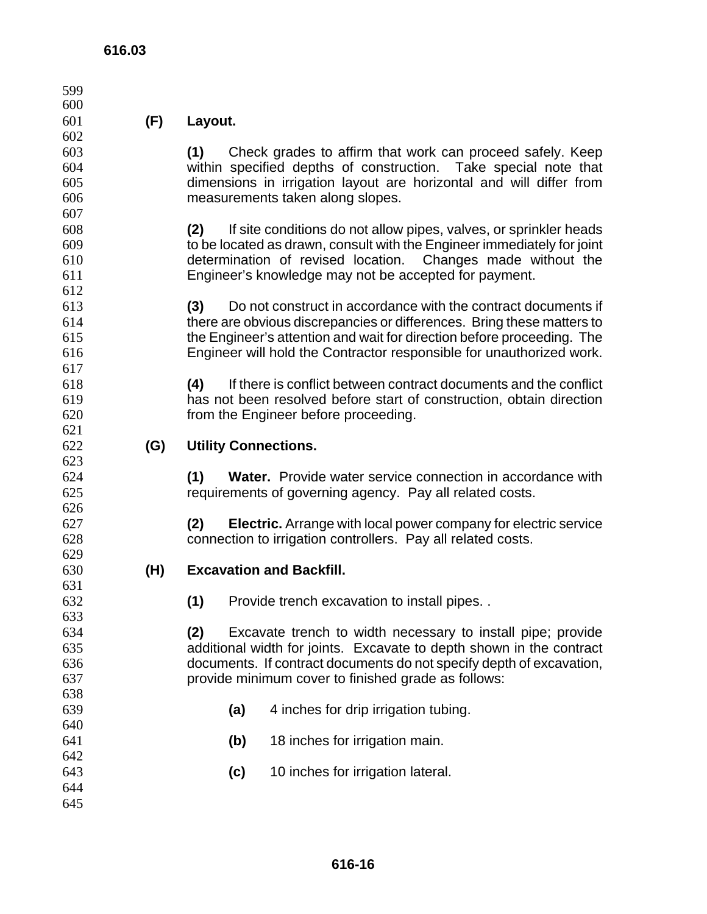| 599        |     |                                                                               |  |
|------------|-----|-------------------------------------------------------------------------------|--|
| 600        |     |                                                                               |  |
| 601        | (F) | Layout.                                                                       |  |
| 602        |     |                                                                               |  |
| 603        |     | (1)<br>Check grades to affirm that work can proceed safely. Keep              |  |
| 604        |     | within specified depths of construction. Take special note that               |  |
| 605        |     | dimensions in irrigation layout are horizontal and will differ from           |  |
| 606        |     | measurements taken along slopes.                                              |  |
| 607        |     |                                                                               |  |
| 608        |     | (2)<br>If site conditions do not allow pipes, valves, or sprinkler heads      |  |
| 609        |     | to be located as drawn, consult with the Engineer immediately for joint       |  |
| 610        |     | determination of revised location. Changes made without the                   |  |
| 611        |     | Engineer's knowledge may not be accepted for payment.                         |  |
| 612        |     |                                                                               |  |
| 613        |     | Do not construct in accordance with the contract documents if<br>(3)          |  |
| 614        |     | there are obvious discrepancies or differences. Bring these matters to        |  |
| 615        |     | the Engineer's attention and wait for direction before proceeding. The        |  |
| 616        |     | Engineer will hold the Contractor responsible for unauthorized work.          |  |
| 617        |     |                                                                               |  |
| 618<br>619 |     | (4)<br>If there is conflict between contract documents and the conflict       |  |
| 620        |     | has not been resolved before start of construction, obtain direction          |  |
| 621        |     | from the Engineer before proceeding.                                          |  |
| 622        | (G) | <b>Utility Connections.</b>                                                   |  |
| 623        |     |                                                                               |  |
| 624        |     | <b>Water.</b> Provide water service connection in accordance with<br>(1)      |  |
| 625        |     | requirements of governing agency. Pay all related costs.                      |  |
| 626        |     |                                                                               |  |
| 627        |     | <b>Electric.</b> Arrange with local power company for electric service<br>(2) |  |
| 628        |     | connection to irrigation controllers. Pay all related costs.                  |  |
| 629        |     |                                                                               |  |
| 630        | (H) | <b>Excavation and Backfill.</b>                                               |  |
| 631        |     |                                                                               |  |
| 632        |     | Provide trench excavation to install pipes<br>(1)                             |  |
| 633        |     |                                                                               |  |
| 634        |     | (2)<br>Excavate trench to width necessary to install pipe; provide            |  |
| 635        |     | additional width for joints. Excavate to depth shown in the contract          |  |
| 636        |     | documents. If contract documents do not specify depth of excavation,          |  |
| 637        |     | provide minimum cover to finished grade as follows:                           |  |
| 638        |     |                                                                               |  |
| 639        |     | 4 inches for drip irrigation tubing.<br>(a)                                   |  |
| 640        |     |                                                                               |  |
| 641        |     | (b)<br>18 inches for irrigation main.                                         |  |
| 642        |     |                                                                               |  |
| 643        |     | (c)<br>10 inches for irrigation lateral.                                      |  |
| 644        |     |                                                                               |  |
| 645        |     |                                                                               |  |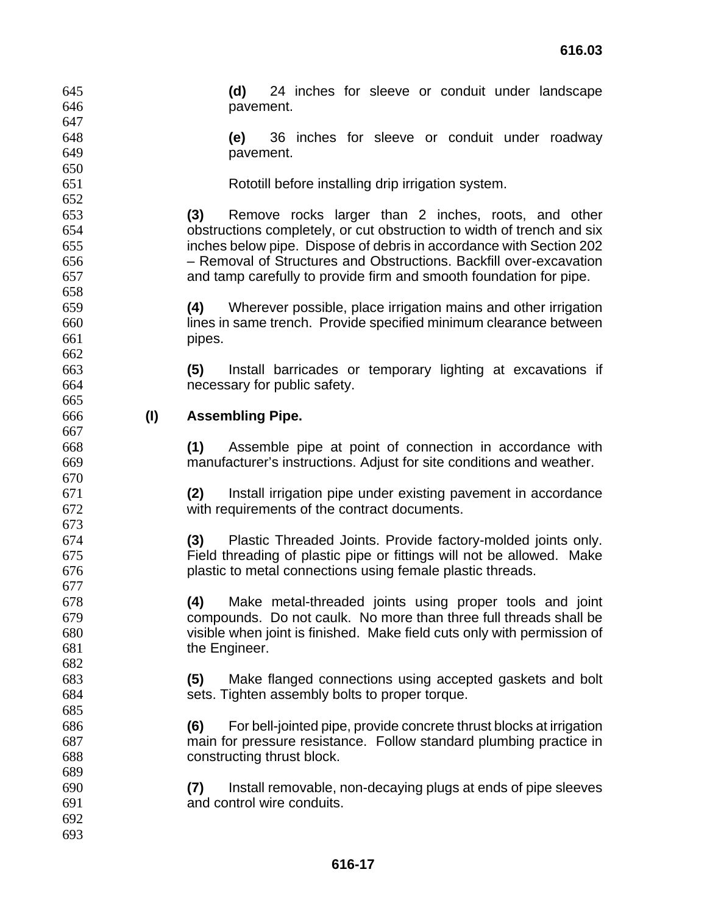| 645 |     | 24 inches for sleeve or conduit under landscape<br>(d)                                                                              |  |  |  |
|-----|-----|-------------------------------------------------------------------------------------------------------------------------------------|--|--|--|
| 646 |     | pavement.                                                                                                                           |  |  |  |
| 647 |     |                                                                                                                                     |  |  |  |
| 648 |     | 36 inches for sleeve or conduit under roadway<br>(e)                                                                                |  |  |  |
| 649 |     | pavement.                                                                                                                           |  |  |  |
| 650 |     |                                                                                                                                     |  |  |  |
| 651 |     | Rototill before installing drip irrigation system.                                                                                  |  |  |  |
| 652 |     |                                                                                                                                     |  |  |  |
| 653 |     | (3)<br>Remove rocks larger than 2 inches, roots, and other                                                                          |  |  |  |
| 654 |     | obstructions completely, or cut obstruction to width of trench and six                                                              |  |  |  |
| 655 |     | inches below pipe. Dispose of debris in accordance with Section 202                                                                 |  |  |  |
| 656 |     | - Removal of Structures and Obstructions. Backfill over-excavation                                                                  |  |  |  |
| 657 |     | and tamp carefully to provide firm and smooth foundation for pipe.                                                                  |  |  |  |
| 658 |     |                                                                                                                                     |  |  |  |
| 659 |     | Wherever possible, place irrigation mains and other irrigation<br>(4)                                                               |  |  |  |
| 660 |     | lines in same trench. Provide specified minimum clearance between                                                                   |  |  |  |
| 661 |     | pipes.                                                                                                                              |  |  |  |
| 662 |     |                                                                                                                                     |  |  |  |
| 663 |     | (5)<br>Install barricades or temporary lighting at excavations if                                                                   |  |  |  |
| 664 |     | necessary for public safety.                                                                                                        |  |  |  |
| 665 |     |                                                                                                                                     |  |  |  |
| 666 | (1) | <b>Assembling Pipe.</b>                                                                                                             |  |  |  |
| 667 |     |                                                                                                                                     |  |  |  |
| 668 |     | (1)<br>Assemble pipe at point of connection in accordance with                                                                      |  |  |  |
| 669 |     | manufacturer's instructions. Adjust for site conditions and weather.                                                                |  |  |  |
| 670 |     |                                                                                                                                     |  |  |  |
| 671 |     | (2)<br>Install irrigation pipe under existing pavement in accordance                                                                |  |  |  |
| 672 |     | with requirements of the contract documents.                                                                                        |  |  |  |
| 673 |     |                                                                                                                                     |  |  |  |
| 674 |     | (3) Plastic Threaded Joints. Provide factory-molded joints only.                                                                    |  |  |  |
| 675 |     |                                                                                                                                     |  |  |  |
|     |     | Field threading of plastic pipe or fittings will not be allowed. Make<br>plastic to metal connections using female plastic threads. |  |  |  |
| 676 |     |                                                                                                                                     |  |  |  |
| 677 |     |                                                                                                                                     |  |  |  |
| 678 |     | Make metal-threaded joints using proper tools and joint<br>(4)                                                                      |  |  |  |
| 679 |     | compounds. Do not caulk. No more than three full threads shall be                                                                   |  |  |  |
| 680 |     | visible when joint is finished. Make field cuts only with permission of                                                             |  |  |  |
| 681 |     | the Engineer.                                                                                                                       |  |  |  |
| 682 |     |                                                                                                                                     |  |  |  |
| 683 |     | Make flanged connections using accepted gaskets and bolt<br>(5)                                                                     |  |  |  |
| 684 |     | sets. Tighten assembly bolts to proper torque.                                                                                      |  |  |  |
| 685 |     |                                                                                                                                     |  |  |  |
| 686 |     | For bell-jointed pipe, provide concrete thrust blocks at irrigation<br>(6)                                                          |  |  |  |
| 687 |     | main for pressure resistance. Follow standard plumbing practice in                                                                  |  |  |  |
| 688 |     | constructing thrust block.                                                                                                          |  |  |  |
| 689 |     |                                                                                                                                     |  |  |  |
| 690 |     | Install removable, non-decaying plugs at ends of pipe sleeves<br>(7)                                                                |  |  |  |
| 691 |     | and control wire conduits.                                                                                                          |  |  |  |
| 692 |     |                                                                                                                                     |  |  |  |
| 693 |     |                                                                                                                                     |  |  |  |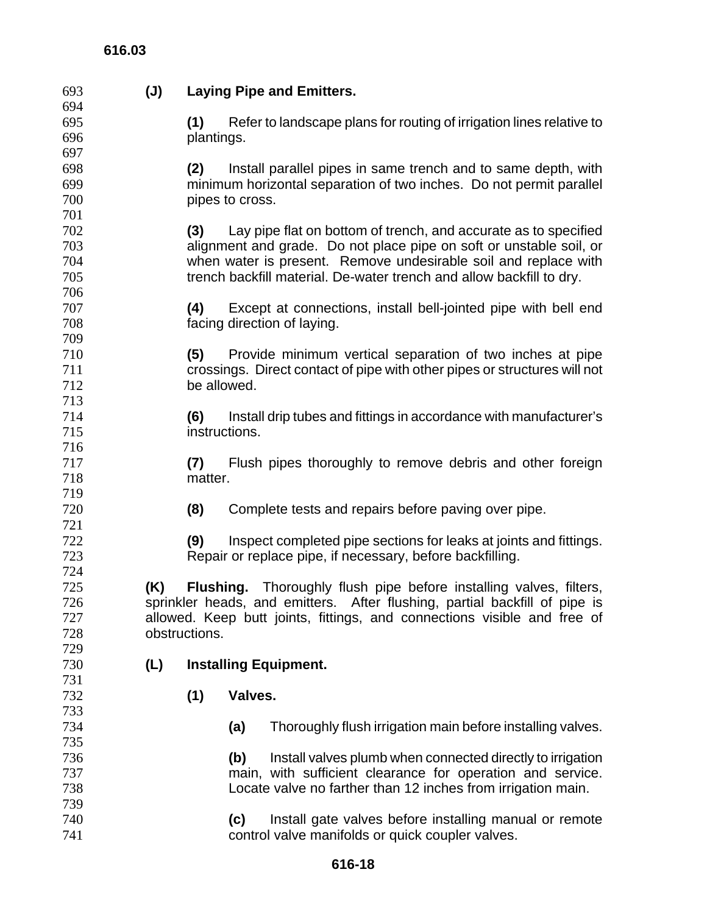## **616.03**

| 693 | $(\mathsf{U})$ | <b>Laying Pipe and Emitters.</b>                                         |                                                                            |  |  |
|-----|----------------|--------------------------------------------------------------------------|----------------------------------------------------------------------------|--|--|
| 694 |                |                                                                          |                                                                            |  |  |
| 695 |                | (1)                                                                      | Refer to landscape plans for routing of irrigation lines relative to       |  |  |
| 696 |                | plantings.                                                               |                                                                            |  |  |
| 697 |                |                                                                          |                                                                            |  |  |
| 698 |                | (2)                                                                      | Install parallel pipes in same trench and to same depth, with              |  |  |
| 699 |                | minimum horizontal separation of two inches. Do not permit parallel      |                                                                            |  |  |
| 700 |                |                                                                          | pipes to cross.                                                            |  |  |
| 701 |                |                                                                          |                                                                            |  |  |
| 702 |                | (3)                                                                      | Lay pipe flat on bottom of trench, and accurate as to specified            |  |  |
| 703 |                |                                                                          | alignment and grade. Do not place pipe on soft or unstable soil, or        |  |  |
| 704 |                |                                                                          | when water is present. Remove undesirable soil and replace with            |  |  |
| 705 |                |                                                                          | trench backfill material. De-water trench and allow backfill to dry.       |  |  |
| 706 |                |                                                                          |                                                                            |  |  |
| 707 |                | (4)                                                                      | Except at connections, install bell-jointed pipe with bell end             |  |  |
| 708 |                |                                                                          | facing direction of laying.                                                |  |  |
| 709 |                |                                                                          |                                                                            |  |  |
| 710 |                | (5)                                                                      | Provide minimum vertical separation of two inches at pipe                  |  |  |
| 711 |                |                                                                          | crossings. Direct contact of pipe with other pipes or structures will not  |  |  |
| 712 |                | be allowed.                                                              |                                                                            |  |  |
| 713 |                |                                                                          |                                                                            |  |  |
| 714 |                | (6)                                                                      | Install drip tubes and fittings in accordance with manufacturer's          |  |  |
| 715 |                | instructions.                                                            |                                                                            |  |  |
| 716 |                |                                                                          |                                                                            |  |  |
| 717 |                | (7)                                                                      | Flush pipes thoroughly to remove debris and other foreign                  |  |  |
| 718 |                | matter.                                                                  |                                                                            |  |  |
| 719 |                |                                                                          |                                                                            |  |  |
| 720 |                | (8)                                                                      | Complete tests and repairs before paving over pipe.                        |  |  |
| 721 |                |                                                                          |                                                                            |  |  |
| 722 |                | (9)                                                                      | Inspect completed pipe sections for leaks at joints and fittings.          |  |  |
| 723 |                |                                                                          | Repair or replace pipe, if necessary, before backfilling.                  |  |  |
| 724 |                |                                                                          |                                                                            |  |  |
| 725 | (K)            |                                                                          | <b>Flushing.</b> Thoroughly flush pipe before installing valves, filters,  |  |  |
| 726 |                |                                                                          | sprinkler heads, and emitters. After flushing, partial backfill of pipe is |  |  |
| 727 |                | allowed. Keep butt joints, fittings, and connections visible and free of |                                                                            |  |  |
| 728 |                | obstructions.                                                            |                                                                            |  |  |
| 729 |                |                                                                          |                                                                            |  |  |
| 730 | (L)            |                                                                          | <b>Installing Equipment.</b>                                               |  |  |
| 731 |                |                                                                          |                                                                            |  |  |
| 732 |                | (1)                                                                      | Valves.                                                                    |  |  |
| 733 |                |                                                                          |                                                                            |  |  |
| 734 |                |                                                                          | Thoroughly flush irrigation main before installing valves.<br>(a)          |  |  |
| 735 |                |                                                                          |                                                                            |  |  |
| 736 |                |                                                                          | Install valves plumb when connected directly to irrigation<br>(b)          |  |  |
| 737 |                |                                                                          | main, with sufficient clearance for operation and service.                 |  |  |
| 738 |                |                                                                          | Locate valve no farther than 12 inches from irrigation main.               |  |  |
| 739 |                |                                                                          |                                                                            |  |  |
| 740 |                |                                                                          | Install gate valves before installing manual or remote<br>(c)              |  |  |
| 741 |                |                                                                          | control valve manifolds or quick coupler valves.                           |  |  |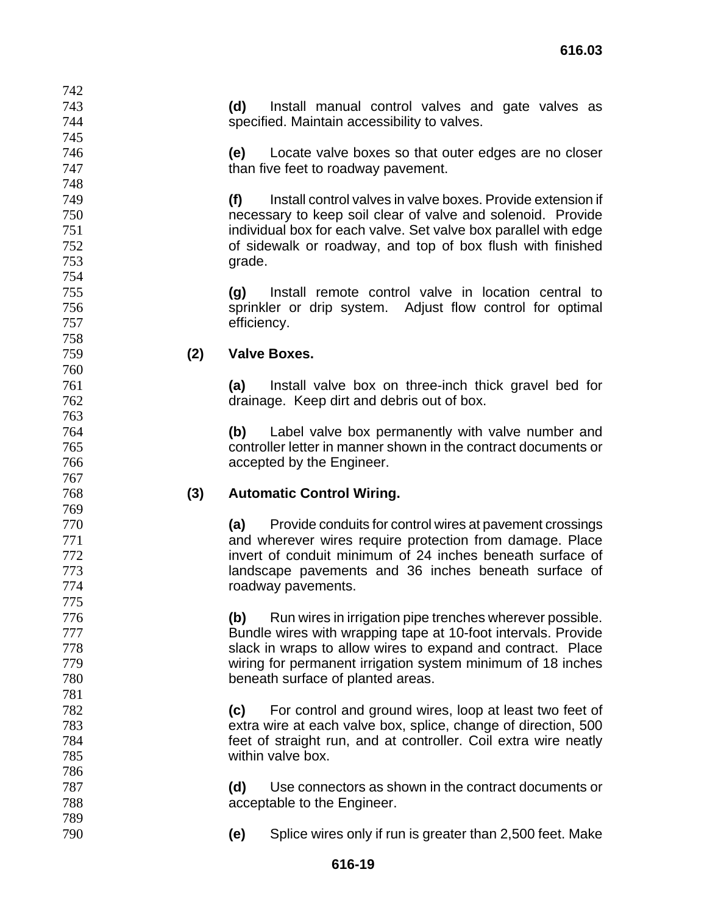**(d)** Install manual control valves and gate valves as specified. Maintain accessibility to valves.

**(e)** Locate valve boxes so that outer edges are no closer **than five feet to roadway pavement.** 

**(f)** Install control valves in valve boxes. Provide extension if necessary to keep soil clear of valve and solenoid. Provide individual box for each valve. Set valve box parallel with edge of sidewalk or roadway, and top of box flush with finished grade.

**(g)** Install remote control valve in location central to sprinkler or drip system. Adjust flow control for optimal efficiency.

#### **(2) Valve Boxes.**

**(a)** Install valve box on three-inch thick gravel bed for drainage. Keep dirt and debris out of box.

**(b)** Label valve box permanently with valve number and controller letter in manner shown in the contract documents or accepted by the Engineer.

#### **(3) Automatic Control Wiring.**

**(a)** Provide conduits for control wires at pavement crossings and wherever wires require protection from damage. Place invert of conduit minimum of 24 inches beneath surface of landscape pavements and 36 inches beneath surface of roadway pavements.

**(b)** Run wires in irrigation pipe trenches wherever possible. Bundle wires with wrapping tape at 10-foot intervals. Provide slack in wraps to allow wires to expand and contract. Place wiring for permanent irrigation system minimum of 18 inches beneath surface of planted areas.

**(c)** For control and ground wires, loop at least two feet of extra wire at each valve box, splice, change of direction, 500 feet of straight run, and at controller. Coil extra wire neatly within valve box.

**(d)** Use connectors as shown in the contract documents or acceptable to the Engineer.

**(e)** Splice wires only if run is greater than 2,500 feet. Make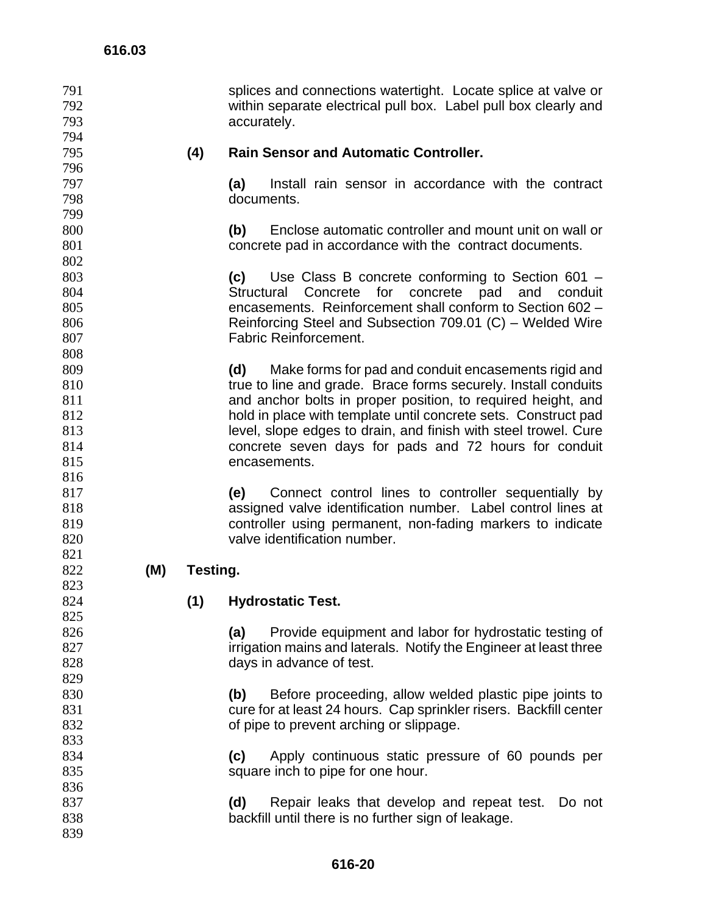| 791<br>792<br>793<br>794 |     |          | splices and connections watertight. Locate splice at valve or<br>within separate electrical pull box. Label pull box clearly and<br>accurately. |
|--------------------------|-----|----------|-------------------------------------------------------------------------------------------------------------------------------------------------|
| 795                      |     | (4)      | <b>Rain Sensor and Automatic Controller.</b>                                                                                                    |
| 796<br>797               |     |          | (a)<br>Install rain sensor in accordance with the contract                                                                                      |
| 798                      |     |          | documents.                                                                                                                                      |
| 799                      |     |          |                                                                                                                                                 |
| 800                      |     |          | Enclose automatic controller and mount unit on wall or<br>(b)                                                                                   |
| 801                      |     |          | concrete pad in accordance with the contract documents.                                                                                         |
| 802                      |     |          |                                                                                                                                                 |
| 803                      |     |          | Use Class B concrete conforming to Section 601 -<br>(c)                                                                                         |
| 804                      |     |          | Structural Concrete for concrete pad and conduit                                                                                                |
| 805                      |     |          | encasements. Reinforcement shall conform to Section 602 -                                                                                       |
| 806                      |     |          | Reinforcing Steel and Subsection 709.01 (C) - Welded Wire                                                                                       |
| 807                      |     |          | <b>Fabric Reinforcement.</b>                                                                                                                    |
| 808                      |     |          |                                                                                                                                                 |
| 809                      |     |          | Make forms for pad and conduit encasements rigid and<br>(d)                                                                                     |
| 810                      |     |          | true to line and grade. Brace forms securely. Install conduits                                                                                  |
| 811                      |     |          | and anchor bolts in proper position, to required height, and                                                                                    |
| 812                      |     |          | hold in place with template until concrete sets. Construct pad                                                                                  |
| 813                      |     |          | level, slope edges to drain, and finish with steel trowel. Cure                                                                                 |
| 814                      |     |          | concrete seven days for pads and 72 hours for conduit                                                                                           |
| 815<br>816               |     |          | encasements.                                                                                                                                    |
| 817                      |     |          | Connect control lines to controller sequentially by<br>(e)                                                                                      |
| 818                      |     |          | assigned valve identification number. Label control lines at                                                                                    |
| 819                      |     |          | controller using permanent, non-fading markers to indicate                                                                                      |
| 820                      |     |          | valve identification number.                                                                                                                    |
| 821                      |     |          |                                                                                                                                                 |
| 822                      | (M) | Testing. |                                                                                                                                                 |
| 823                      |     |          |                                                                                                                                                 |
| 824                      |     | (1)      | <b>Hydrostatic Test.</b>                                                                                                                        |
| 825                      |     |          |                                                                                                                                                 |
| 826                      |     |          | Provide equipment and labor for hydrostatic testing of<br>(a)                                                                                   |
| 827                      |     |          | irrigation mains and laterals. Notify the Engineer at least three                                                                               |
| 828                      |     |          | days in advance of test.                                                                                                                        |
| 829                      |     |          |                                                                                                                                                 |
| 830                      |     |          | Before proceeding, allow welded plastic pipe joints to<br>(b)                                                                                   |
| 831                      |     |          | cure for at least 24 hours. Cap sprinkler risers. Backfill center                                                                               |
| 832<br>833               |     |          | of pipe to prevent arching or slippage.                                                                                                         |
| 834                      |     |          |                                                                                                                                                 |
| 835                      |     |          | Apply continuous static pressure of 60 pounds per<br>(c)<br>square inch to pipe for one hour.                                                   |
| 836                      |     |          |                                                                                                                                                 |
| 837                      |     |          | Repair leaks that develop and repeat test.<br>(d)<br>Do not                                                                                     |
| 838                      |     |          | backfill until there is no further sign of leakage.                                                                                             |
| 839                      |     |          |                                                                                                                                                 |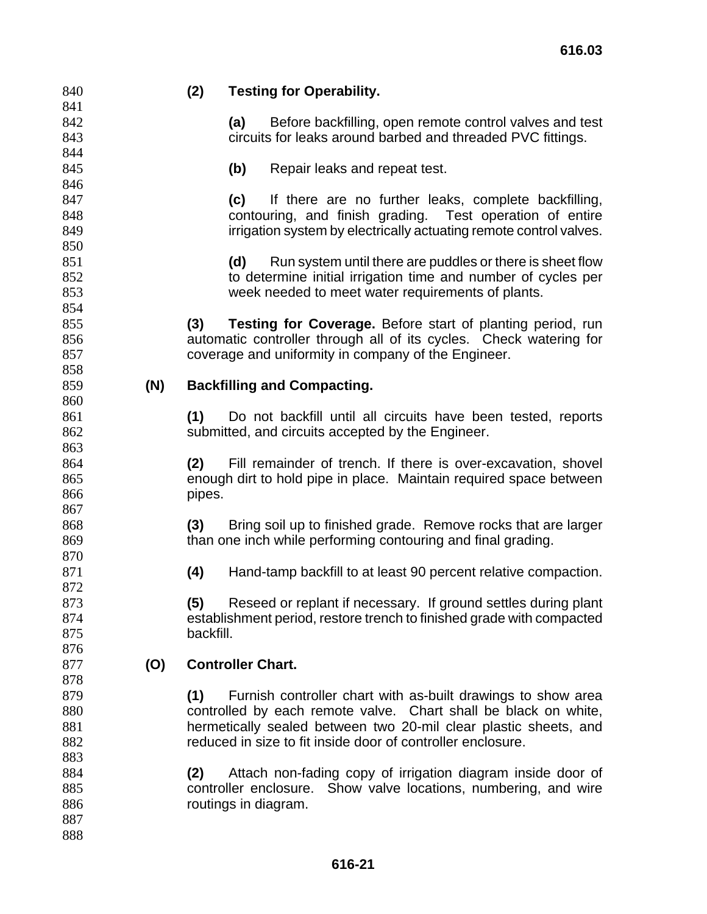#### **(2) Testing for Operability.**

**(a)** Before backfilling, open remote control valves and test circuits for leaks around barbed and threaded PVC fittings.

**(b)** Repair leaks and repeat test.

**(c)** If there are no further leaks, complete backfilling, contouring, and finish grading. Test operation of entire **irrigation system by electrically actuating remote control valves.** 

**(d)** Run system until there are puddles or there is sheet flow to determine initial irrigation time and number of cycles per week needed to meet water requirements of plants.

**(3) Testing for Coverage.** Before start of planting period, run automatic controller through all of its cycles. Check watering for coverage and uniformity in company of the Engineer.

#### **(N) Backfilling and Compacting.**

**(1)** Do not backfill until all circuits have been tested, reports submitted, and circuits accepted by the Engineer.

**(2)** Fill remainder of trench. If there is over-excavation, shovel enough dirt to hold pipe in place. Maintain required space between pipes.

**(3)** Bring soil up to finished grade. Remove rocks that are larger than one inch while performing contouring and final grading.

**(4)** Hand-tamp backfill to at least 90 percent relative compaction.

**(5)** Reseed or replant if necessary. If ground settles during plant establishment period, restore trench to finished grade with compacted backfill.

## **(O) Controller Chart.**

**(1)** Furnish controller chart with as-built drawings to show area controlled by each remote valve. Chart shall be black on white, hermetically sealed between two 20-mil clear plastic sheets, and reduced in size to fit inside door of controller enclosure.

**(2)** Attach non-fading copy of irrigation diagram inside door of controller enclosure. Show valve locations, numbering, and wire routings in diagram.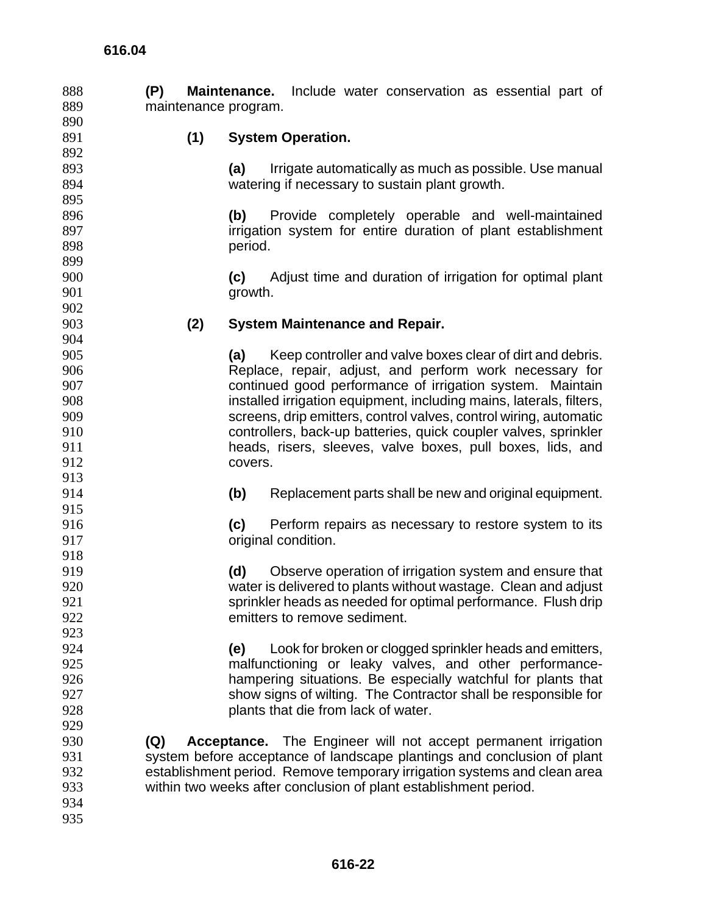| 888 | (P)                  | Include water conservation as essential part of<br><b>Maintenance.</b>   |  |  |  |  |
|-----|----------------------|--------------------------------------------------------------------------|--|--|--|--|
| 889 | maintenance program. |                                                                          |  |  |  |  |
| 890 |                      |                                                                          |  |  |  |  |
| 891 | (1)                  | <b>System Operation.</b>                                                 |  |  |  |  |
| 892 |                      |                                                                          |  |  |  |  |
| 893 |                      | Irrigate automatically as much as possible. Use manual<br>(a)            |  |  |  |  |
| 894 |                      | watering if necessary to sustain plant growth.                           |  |  |  |  |
| 895 |                      |                                                                          |  |  |  |  |
| 896 |                      | (b)<br>Provide completely operable and well-maintained                   |  |  |  |  |
| 897 |                      | irrigation system for entire duration of plant establishment             |  |  |  |  |
| 898 |                      | period.                                                                  |  |  |  |  |
| 899 |                      |                                                                          |  |  |  |  |
| 900 |                      | Adjust time and duration of irrigation for optimal plant<br>(c)          |  |  |  |  |
| 901 |                      | growth.                                                                  |  |  |  |  |
| 902 |                      |                                                                          |  |  |  |  |
| 903 | (2)                  | <b>System Maintenance and Repair.</b>                                    |  |  |  |  |
| 904 |                      |                                                                          |  |  |  |  |
| 905 |                      | Keep controller and valve boxes clear of dirt and debris.<br>(a)         |  |  |  |  |
| 906 |                      | Replace, repair, adjust, and perform work necessary for                  |  |  |  |  |
| 907 |                      | continued good performance of irrigation system. Maintain                |  |  |  |  |
| 908 |                      | installed irrigation equipment, including mains, laterals, filters,      |  |  |  |  |
| 909 |                      | screens, drip emitters, control valves, control wiring, automatic        |  |  |  |  |
| 910 |                      | controllers, back-up batteries, quick coupler valves, sprinkler          |  |  |  |  |
| 911 |                      | heads, risers, sleeves, valve boxes, pull boxes, lids, and               |  |  |  |  |
| 912 |                      | covers.                                                                  |  |  |  |  |
| 913 |                      |                                                                          |  |  |  |  |
| 914 |                      | (b)<br>Replacement parts shall be new and original equipment.            |  |  |  |  |
| 915 |                      |                                                                          |  |  |  |  |
| 916 |                      | (c)<br>Perform repairs as necessary to restore system to its             |  |  |  |  |
| 917 |                      | original condition.                                                      |  |  |  |  |
| 918 |                      |                                                                          |  |  |  |  |
| 919 |                      | (d)<br>Observe operation of irrigation system and ensure that            |  |  |  |  |
| 920 |                      | water is delivered to plants without wastage. Clean and adjust           |  |  |  |  |
| 921 |                      | sprinkler heads as needed for optimal performance. Flush drip            |  |  |  |  |
| 922 |                      | emitters to remove sediment.                                             |  |  |  |  |
| 923 |                      |                                                                          |  |  |  |  |
| 924 |                      |                                                                          |  |  |  |  |
| 925 |                      | Look for broken or clogged sprinkler heads and emitters,<br>(e)          |  |  |  |  |
|     |                      | malfunctioning or leaky valves, and other performance-                   |  |  |  |  |
| 926 |                      | hampering situations. Be especially watchful for plants that             |  |  |  |  |
| 927 |                      | show signs of wilting. The Contractor shall be responsible for           |  |  |  |  |
| 928 |                      | plants that die from lack of water.                                      |  |  |  |  |
| 929 |                      |                                                                          |  |  |  |  |
| 930 | (Q)                  | Acceptance. The Engineer will not accept permanent irrigation            |  |  |  |  |
| 931 |                      | system before acceptance of landscape plantings and conclusion of plant  |  |  |  |  |
| 932 |                      | establishment period. Remove temporary irrigation systems and clean area |  |  |  |  |
| 933 |                      | within two weeks after conclusion of plant establishment period.         |  |  |  |  |
| 934 |                      |                                                                          |  |  |  |  |
| 935 |                      |                                                                          |  |  |  |  |